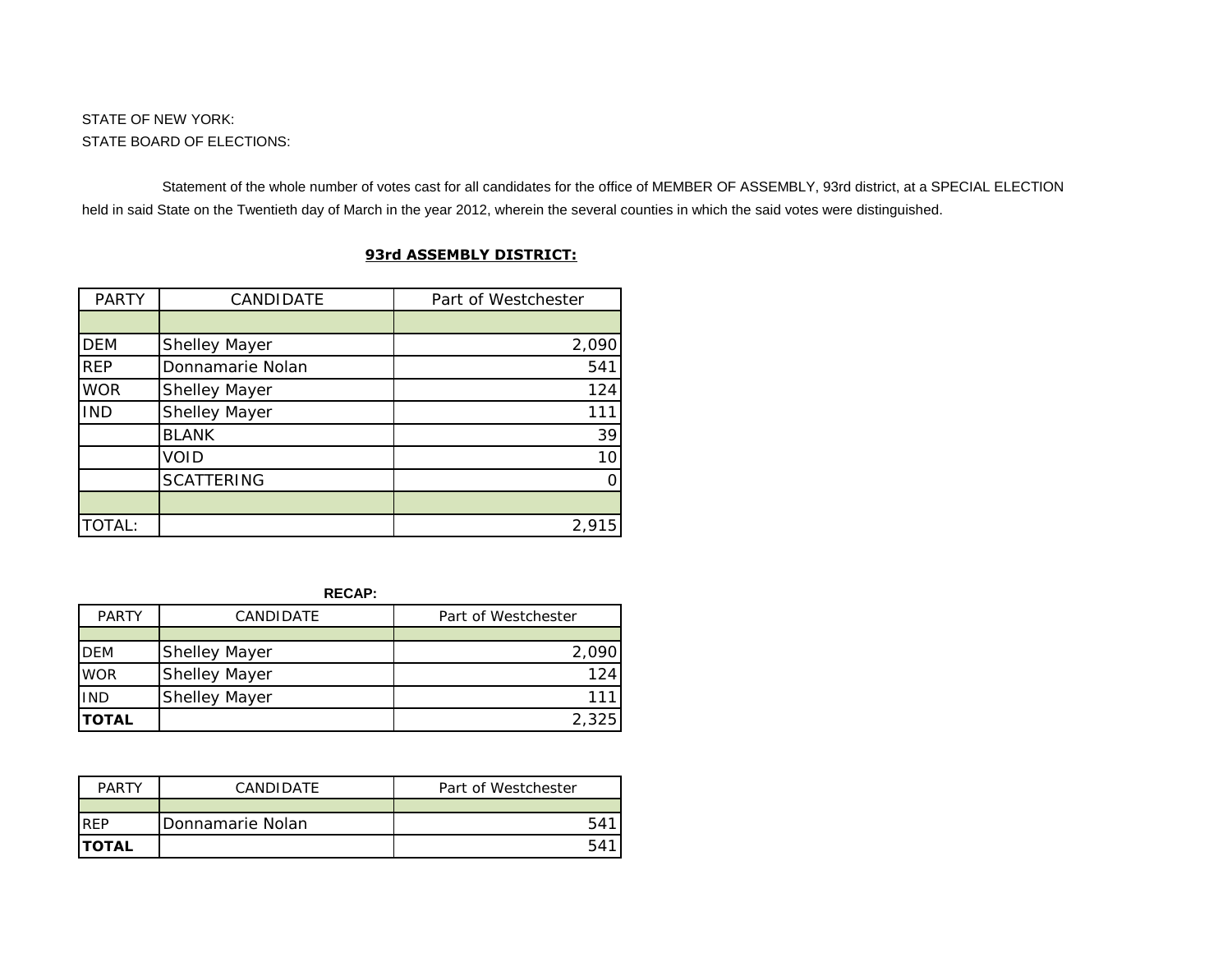Statement of the whole number of votes cast for all candidates for the office of MEMBER OF ASSEMBLY, 93rd district, at a SPECIAL ELECTION held in said State on the Twentieth day of March in the year 2012, wherein the several counties in which the said votes were distinguished.

| <b>PARTY</b> | CANDIDATE         | Part of Westchester |
|--------------|-------------------|---------------------|
|              |                   |                     |
| <b>DEM</b>   | Shelley Mayer     | 2,090               |
| <b>REP</b>   | Donnamarie Nolan  | 541                 |
| <b>WOR</b>   | Shelley Mayer     | 124                 |
| <b>IND</b>   | Shelley Mayer     | 111                 |
|              | <b>BLANK</b>      | 39                  |
|              | VOID              | 10                  |
|              | <b>SCATTERING</b> | ∩                   |
|              |                   |                     |
| TOTAL:       |                   | 2,915               |

## **93rd ASSEMBLY DISTRICT:**

**RECAP:**

| <b>PARTY</b>  | CANDIDATE            | Part of Westchester |
|---------------|----------------------|---------------------|
|               |                      |                     |
| <b>DEM</b>    | <b>Shelley Mayer</b> | 2.090               |
| <b>WOR</b>    | <b>Shelley Mayer</b> |                     |
| <b>IND</b>    | <b>Shelley Mayer</b> |                     |
| <b>ITOTAL</b> |                      | 2,325               |

| <b>PARTY</b>  | CANDIDATE        | Part of Westchester |
|---------------|------------------|---------------------|
|               |                  |                     |
| <b>REP</b>    | Donnamarie Nolan | 541                 |
| <b>ITOTAL</b> |                  | 541                 |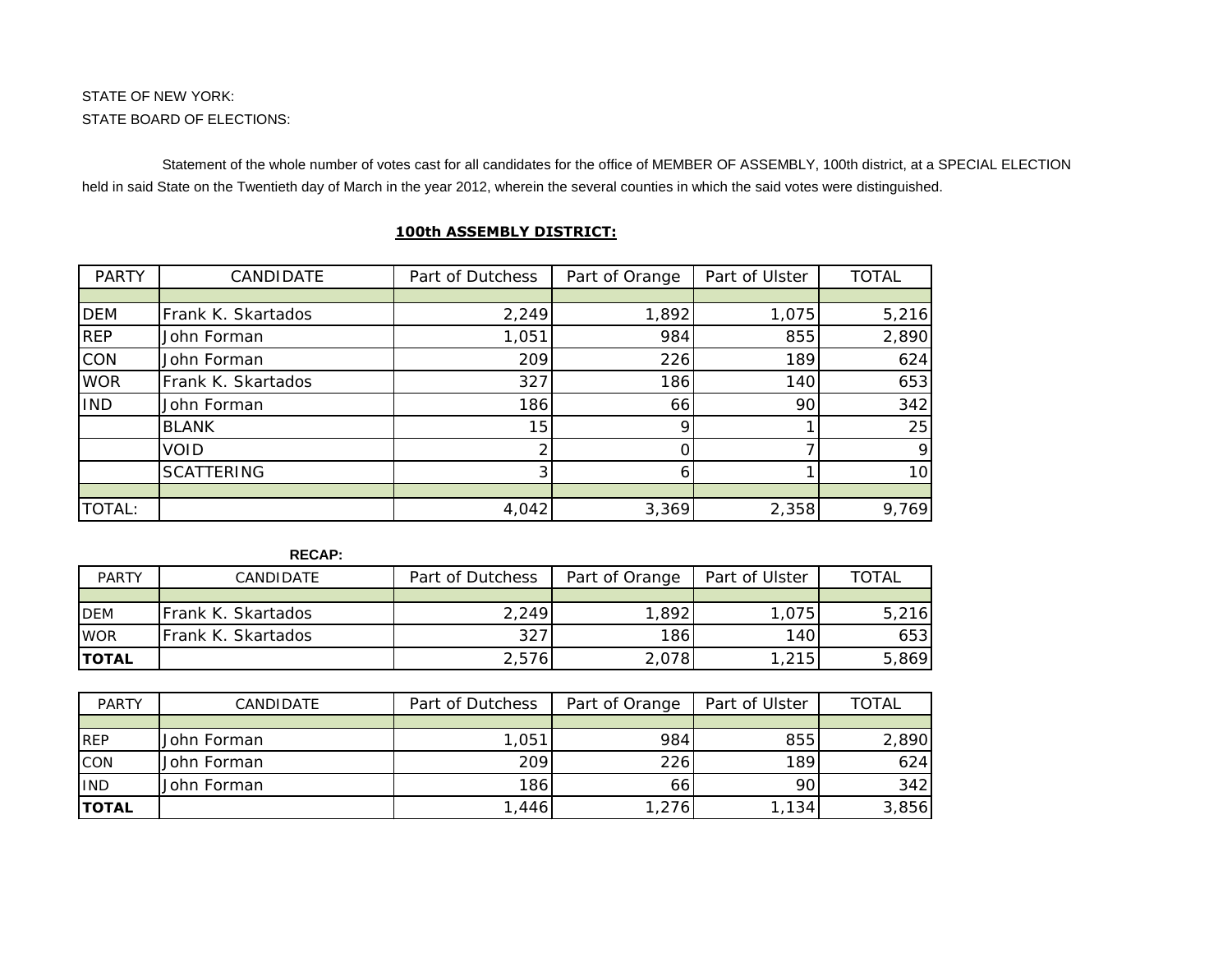Statement of the whole number of votes cast for all candidates for the office of MEMBER OF ASSEMBLY, 100th district, at a SPECIAL ELECTION held in said State on the Twentieth day of March in the year 2012, wherein the several counties in which the said votes were distinguished.

| <b>PARTY</b> | CANDIDATE          | Part of Dutchess | Part of Orange | Part of Ulster | <b>TOTAL</b> |
|--------------|--------------------|------------------|----------------|----------------|--------------|
|              |                    |                  |                |                |              |
| <b>DEM</b>   | Frank K. Skartados | 2,249            | 1,892          | 1,075          | 5,216        |
| <b>REP</b>   | John Forman        | 1,051            | 984            | 855            | 2,890        |
| <b>CON</b>   | John Forman        | 209              | 226            | 189            | 624          |
| <b>WOR</b>   | Frank K. Skartados | 327              | 186            | 140            | 653          |
| <b>IND</b>   | John Forman        | 186              | 66             | 90             | 342          |
|              | <b>BLANK</b>       | 15               |                |                | 25           |
|              | <b>VOID</b>        |                  |                |                | 9            |
|              | <b>SCATTERING</b>  |                  |                |                | 10           |
|              |                    |                  |                |                |              |
| TOTAL:       |                    | 4,042            | 3,369          | 2,358          | 9,769        |

## **100th ASSEMBLY DISTRICT:**

| <b>PARTY</b> | <b>CANDIDATE</b>   | Part of Dutchess | Part of Orange | Part of Ulster | TOTAL |
|--------------|--------------------|------------------|----------------|----------------|-------|
|              |                    |                  |                |                |       |
| <b>DEM</b>   | Frank K. Skartados | 2,249            | ,892           | 1,075          | 5,216 |
| <b>WOR</b>   | Frank K. Skartados | 327              | 186            | 140            | 653   |
| <b>TOTAL</b> |                    | 2,576            | 2,078          | 1,215          | 5,869 |

| <b>PARTY</b> | CANDIDATE   | Part of Dutchess  | Part of Orange | Part of Ulster | <b>TOTAL</b> |
|--------------|-------------|-------------------|----------------|----------------|--------------|
|              |             |                   |                |                |              |
| <b>REP</b>   | John Forman | 1,05 <sup>1</sup> | 984            | 855            | 2,890        |
| CON          | John Forman | 209               | 226            | 189            | 624          |
| <b>IND</b>   | John Forman | 186               | 661            | 901            | 342          |
| <b>TOTAL</b> |             | .446              | .276           | ,134           | 3,856        |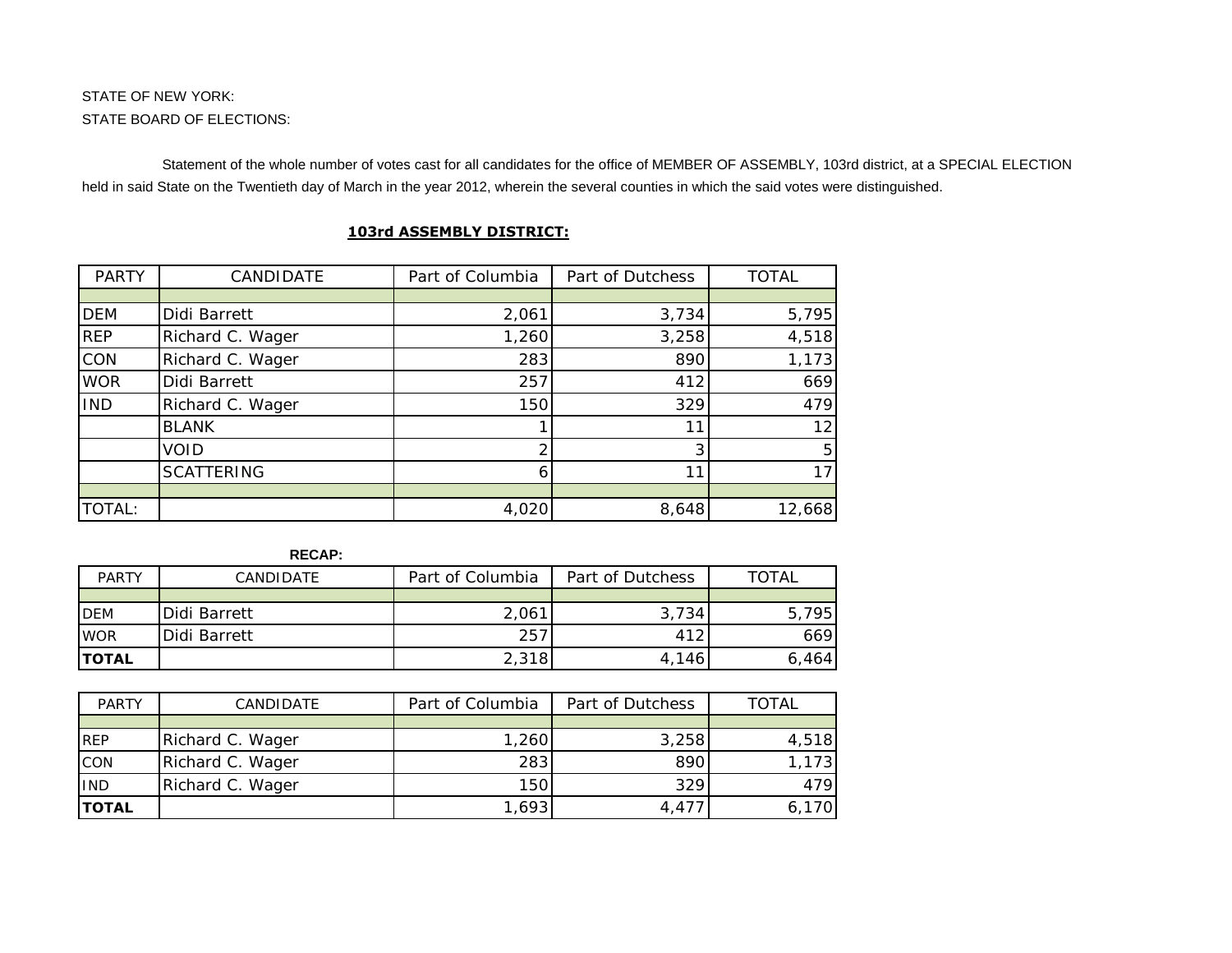Statement of the whole number of votes cast for all candidates for the office of MEMBER OF ASSEMBLY, 103rd district, at a SPECIAL ELECTION held in said State on the Twentieth day of March in the year 2012, wherein the several counties in which the said votes were distinguished.

| <b>PARTY</b> | CANDIDATE         | Part of Columbia | Part of Dutchess | <b>TOTAL</b>    |
|--------------|-------------------|------------------|------------------|-----------------|
|              |                   |                  |                  |                 |
| <b>DEM</b>   | Didi Barrett      | 2,061            | 3,734            | 5,795           |
| <b>REP</b>   | Richard C. Wager  | 1,260            | 3,258            | 4,518           |
| CON          | Richard C. Wager  | 283              | 890              | 1,173           |
| <b>WOR</b>   | Didi Barrett      | 257              | 412              | 669             |
| <b>IND</b>   | Richard C. Wager  | 150              | 329              | 479             |
|              | <b>BLANK</b>      |                  | 11               | 12 <sub>1</sub> |
|              | VOID              |                  |                  | 5               |
|              | <b>SCATTERING</b> | 6.               | 11               | 17              |
|              |                   |                  |                  |                 |
| TOTAL:       |                   | 4,020            | 8,648            | 12,668          |

## **103rd ASSEMBLY DISTRICT:**

| <b>PARTY</b>  | CANDIDATE.           | Part of Columbia | Part of Dutchess | TOTAL |
|---------------|----------------------|------------------|------------------|-------|
|               |                      |                  |                  |       |
| <b>DEM</b>    | Didi Barrett         | 2,061            | 3,734            | 5,795 |
| <b>WOR</b>    | <b>IDidi Barrett</b> | 257              | 412              | 669   |
| <b>ITOTAL</b> |                      | 2,318            | 4.146            | 6,464 |

| <b>PARTY</b> | CANDIDATE        | Part of Columbia | Part of Dutchess | TOTAL |
|--------------|------------------|------------------|------------------|-------|
|              |                  |                  |                  |       |
| <b>REP</b>   | Richard C. Wager | 12601            | 3,258            | 4,518 |
| CON          | Richard C. Wager | 283              | 890              | 731   |
| <b>IND</b>   | Richard C. Wager | 150              | 329              | 479   |
| <b>TOTAL</b> |                  | 1.6931           | 4.47             |       |